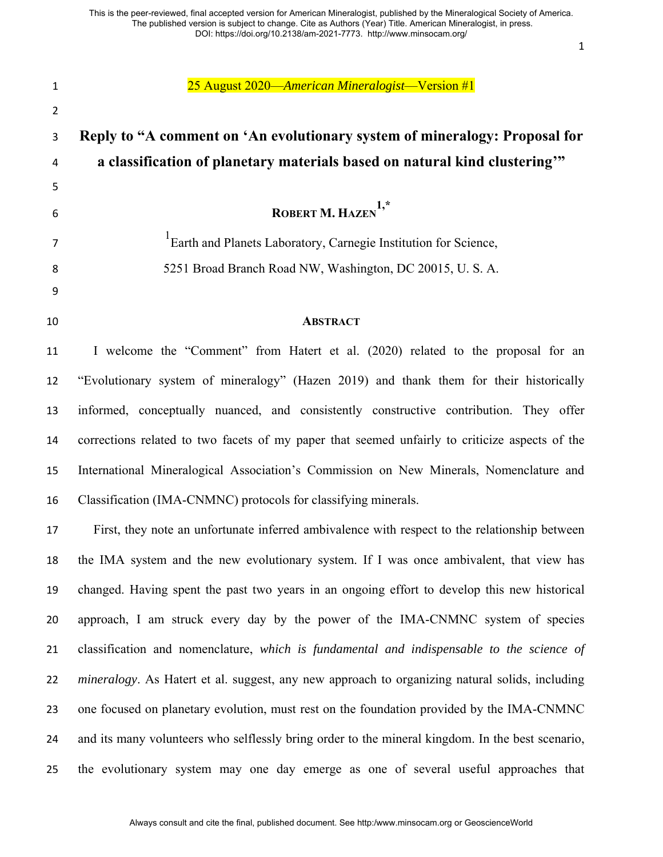25 August 2020—*American Mineralogist*—Version #1 **Reply to "A comment on 'An evolutionary system of mineralogy: Proposal for a classification of planetary materials based on natural kind clustering'" ROBERT M. HAZEN 1,\*** <sup>1</sup> Earth and Planets Laboratory, Carnegie Institution for Science, 5251 Broad Branch Road NW, Washington, DC 20015, U. S. A. **ABSTRACT** I welcome the "Comment" from Hatert et al. (2020) related to the proposal for an "Evolutionary system of mineralogy" (Hazen 2019) and thank them for their historically informed, conceptually nuanced, and consistently constructive contribution. They offer corrections related to two facets of my paper that seemed unfairly to criticize aspects of the International Mineralogical Association's Commission on New Minerals, Nomenclature and Classification (IMA-CNMNC) protocols for classifying minerals. First, they note an unfortunate inferred ambivalence with respect to the relationship between the IMA system and the new evolutionary system. If I was once ambivalent, that view has changed. Having spent the past two years in an ongoing effort to develop this new historical approach, I am struck every day by the power of the IMA-CNMNC system of species classification and nomenclature, *which is fundamental and indispensable to the science of mineralogy*. As Hatert et al. suggest, any new approach to organizing natural solids, including one focused on planetary evolution, must rest on the foundation provided by the IMA-CNMNC and its many volunteers who selflessly bring order to the mineral kingdom. In the best scenario, the evolutionary system may one day emerge as one of several useful approaches that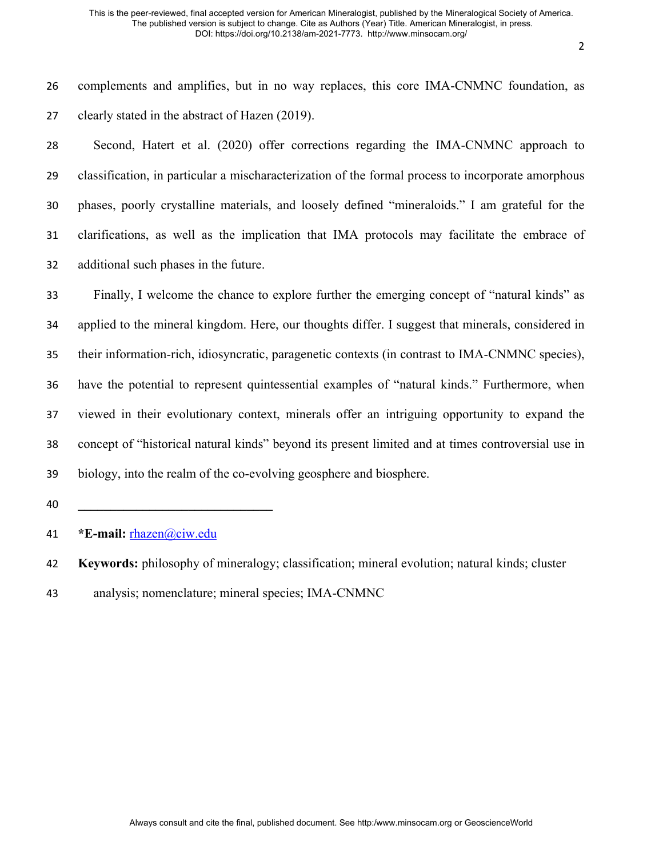complements and amplifies, but in no way replaces, this core IMA-CNMNC foundation, as clearly stated in the abstract of Hazen (2019).

 Second, Hatert et al. (2020) offer corrections regarding the IMA-CNMNC approach to classification, in particular a mischaracterization of the formal process to incorporate amorphous phases, poorly crystalline materials, and loosely defined "mineraloids." I am grateful for the clarifications, as well as the implication that IMA protocols may facilitate the embrace of additional such phases in the future.

 Finally, I welcome the chance to explore further the emerging concept of "natural kinds" as applied to the mineral kingdom. Here, our thoughts differ. I suggest that minerals, considered in their information-rich, idiosyncratic, paragenetic contexts (in contrast to IMA-CNMNC species), have the potential to represent quintessential examples of "natural kinds." Furthermore, when viewed in their evolutionary context, minerals offer an intriguing opportunity to expand the concept of "historical natural kinds" beyond its present limited and at times controversial use in biology, into the realm of the co-evolving geosphere and biosphere.

**\_\_\_\_\_\_\_\_\_\_\_\_\_\_\_\_\_\_\_\_\_\_\_\_\_\_\_\_\_\_**

**\*E-mail:** [rhazen@ciw.edu](mailto:rhazen@ciw.edu)

analysis; nomenclature; mineral species; IMA-CNMNC

**Keywords:** philosophy of mineralogy; classification; mineral evolution; natural kinds; cluster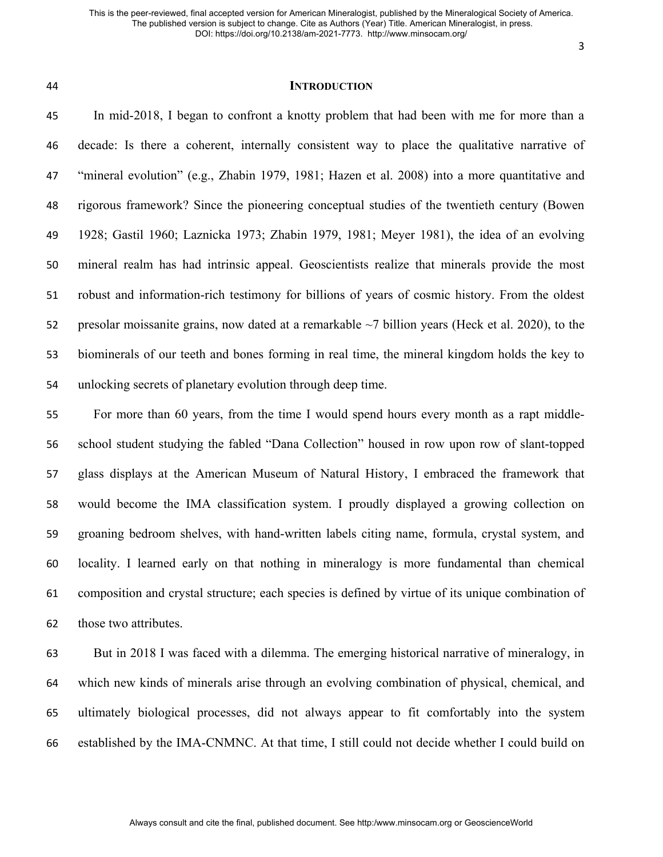### **INTRODUCTION**

 In mid-2018, I began to confront a knotty problem that had been with me for more than a decade: Is there a coherent, internally consistent way to place the qualitative narrative of "mineral evolution" (e.g., Zhabin 1979, 1981; Hazen et al. 2008) into a more quantitative and rigorous framework? Since the pioneering conceptual studies of the twentieth century (Bowen 1928; Gastil 1960; Laznicka 1973; Zhabin 1979, 1981; Meyer 1981), the idea of an evolving mineral realm has had intrinsic appeal. Geoscientists realize that minerals provide the most robust and information-rich testimony for billions of years of cosmic history. From the oldest 52 presolar moissanite grains, now dated at a remarkable ~7 billion years (Heck et al. 2020), to the biominerals of our teeth and bones forming in real time, the mineral kingdom holds the key to unlocking secrets of planetary evolution through deep time.

 For more than 60 years, from the time I would spend hours every month as a rapt middle- school student studying the fabled "Dana Collection" housed in row upon row of slant-topped glass displays at the American Museum of Natural History, I embraced the framework that would become the IMA classification system. I proudly displayed a growing collection on groaning bedroom shelves, with hand-written labels citing name, formula, crystal system, and locality. I learned early on that nothing in mineralogy is more fundamental than chemical composition and crystal structure; each species is defined by virtue of its unique combination of those two attributes.

 But in 2018 I was faced with a dilemma. The emerging historical narrative of mineralogy, in which new kinds of minerals arise through an evolving combination of physical, chemical, and ultimately biological processes, did not always appear to fit comfortably into the system established by the IMA-CNMNC. At that time, I still could not decide whether I could build on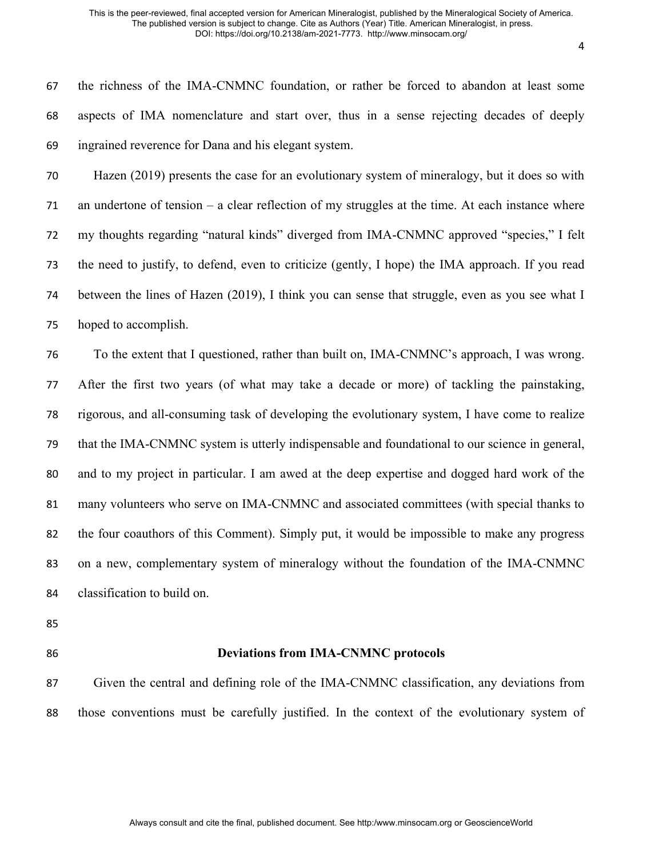the richness of the IMA-CNMNC foundation, or rather be forced to abandon at least some aspects of IMA nomenclature and start over, thus in a sense rejecting decades of deeply ingrained reverence for Dana and his elegant system.

 Hazen (2019) presents the case for an evolutionary system of mineralogy, but it does so with an undertone of tension – a clear reflection of my struggles at the time. At each instance where my thoughts regarding "natural kinds" diverged from IMA-CNMNC approved "species," I felt the need to justify, to defend, even to criticize (gently, I hope) the IMA approach. If you read between the lines of Hazen (2019), I think you can sense that struggle, even as you see what I hoped to accomplish.

 To the extent that I questioned, rather than built on, IMA-CNMNC's approach, I was wrong. After the first two years (of what may take a decade or more) of tackling the painstaking, rigorous, and all-consuming task of developing the evolutionary system, I have come to realize that the IMA-CNMNC system is utterly indispensable and foundational to our science in general, and to my project in particular. I am awed at the deep expertise and dogged hard work of the many volunteers who serve on IMA-CNMNC and associated committees (with special thanks to the four coauthors of this Comment). Simply put, it would be impossible to make any progress on a new, complementary system of mineralogy without the foundation of the IMA-CNMNC classification to build on.

- 
- 

# **Deviations from IMA-CNMNC protocols**

 Given the central and defining role of the IMA-CNMNC classification, any deviations from those conventions must be carefully justified. In the context of the evolutionary system of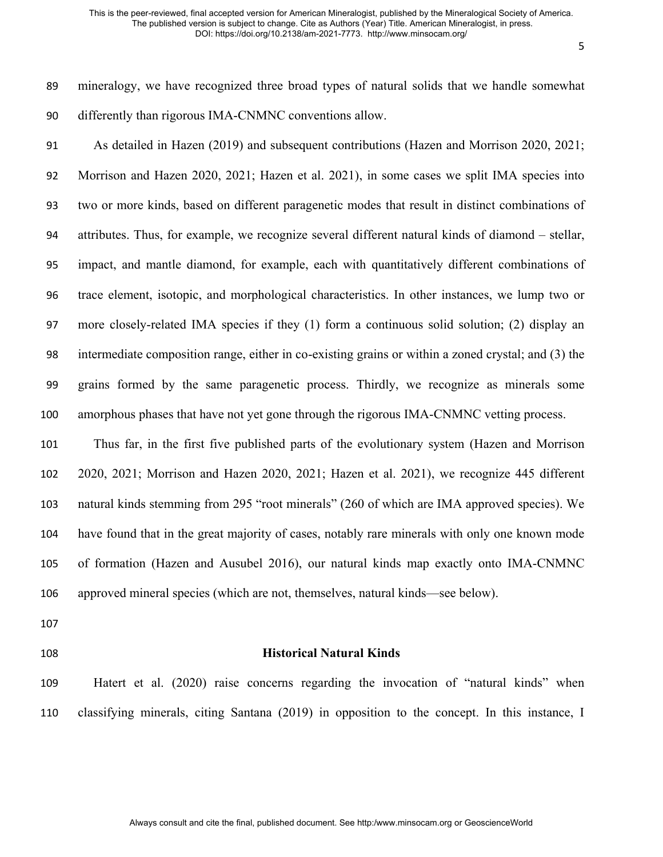mineralogy, we have recognized three broad types of natural solids that we handle somewhat differently than rigorous IMA-CNMNC conventions allow.

 As detailed in Hazen (2019) and subsequent contributions (Hazen and Morrison 2020, 2021; Morrison and Hazen 2020, 2021; Hazen et al. 2021), in some cases we split IMA species into two or more kinds, based on different paragenetic modes that result in distinct combinations of attributes. Thus, for example, we recognize several different natural kinds of diamond – stellar, impact, and mantle diamond, for example, each with quantitatively different combinations of trace element, isotopic, and morphological characteristics. In other instances, we lump two or more closely-related IMA species if they (1) form a continuous solid solution; (2) display an intermediate composition range, either in co-existing grains or within a zoned crystal; and (3) the grains formed by the same paragenetic process. Thirdly, we recognize as minerals some amorphous phases that have not yet gone through the rigorous IMA-CNMNC vetting process.

 Thus far, in the first five published parts of the evolutionary system (Hazen and Morrison 2020, 2021; Morrison and Hazen 2020, 2021; Hazen et al. 2021), we recognize 445 different natural kinds stemming from 295 "root minerals" (260 of which are IMA approved species). We have found that in the great majority of cases, notably rare minerals with only one known mode of formation (Hazen and Ausubel 2016), our natural kinds map exactly onto IMA-CNMNC approved mineral species (which are not, themselves, natural kinds—see below).

- 
- 

## **Historical Natural Kinds**

 Hatert et al. (2020) raise concerns regarding the invocation of "natural kinds" when classifying minerals, citing Santana (2019) in opposition to the concept. In this instance, I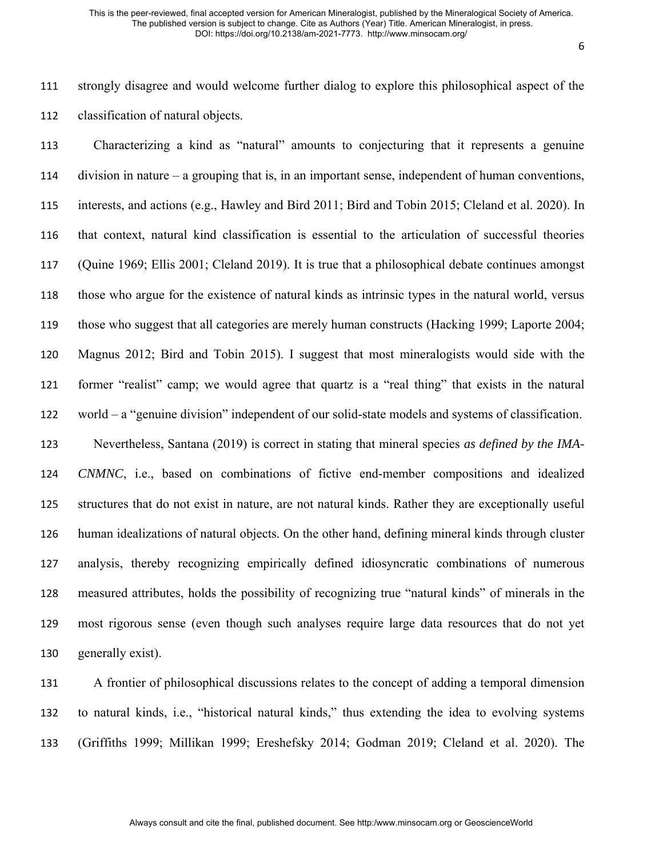strongly disagree and would welcome further dialog to explore this philosophical aspect of the classification of natural objects.

 Characterizing a kind as "natural" amounts to conjecturing that it represents a genuine division in nature – a grouping that is, in an important sense, independent of human conventions, interests, and actions (e.g., Hawley and Bird 2011; Bird and Tobin 2015; Cleland et al. 2020). In that context, natural kind classification is essential to the articulation of successful theories (Quine 1969; Ellis 2001; Cleland 2019). It is true that a philosophical debate continues amongst those who argue for the existence of natural kinds as intrinsic types in the natural world, versus those who suggest that all categories are merely human constructs (Hacking 1999; Laporte 2004; Magnus 2012; Bird and Tobin 2015). I suggest that most mineralogists would side with the former "realist" camp; we would agree that quartz is a "real thing" that exists in the natural world – a "genuine division" independent of our solid-state models and systems of classification. Nevertheless, Santana (2019) is correct in stating that mineral species *as defined by the IMA- CNMNC*, i.e., based on combinations of fictive end-member compositions and idealized structures that do not exist in nature, are not natural kinds. Rather they are exceptionally useful human idealizations of natural objects. On the other hand, defining mineral kinds through cluster analysis, thereby recognizing empirically defined idiosyncratic combinations of numerous measured attributes, holds the possibility of recognizing true "natural kinds" of minerals in the most rigorous sense (even though such analyses require large data resources that do not yet generally exist).

 A frontier of philosophical discussions relates to the concept of adding a temporal dimension to natural kinds, i.e., "historical natural kinds," thus extending the idea to evolving systems (Griffiths 1999; Millikan 1999; Ereshefsky 2014; Godman 2019; Cleland et al. 2020). The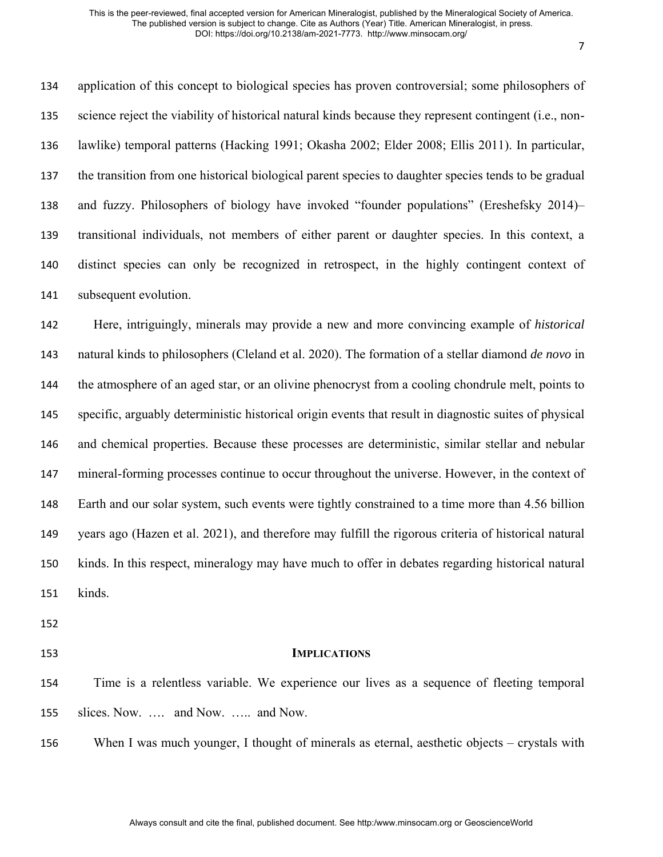application of this concept to biological species has proven controversial; some philosophers of science reject the viability of historical natural kinds because they represent contingent (i.e., non- lawlike) temporal patterns (Hacking 1991; Okasha 2002; Elder 2008; Ellis 2011). In particular, the transition from one historical biological parent species to daughter species tends to be gradual and fuzzy. Philosophers of biology have invoked "founder populations" (Ereshefsky 2014)– transitional individuals, not members of either parent or daughter species. In this context, a distinct species can only be recognized in retrospect, in the highly contingent context of subsequent evolution.

 Here, intriguingly, minerals may provide a new and more convincing example of *historical*  natural kinds to philosophers (Cleland et al. 2020). The formation of a stellar diamond *de novo* in the atmosphere of an aged star, or an olivine phenocryst from a cooling chondrule melt, points to specific, arguably deterministic historical origin events that result in diagnostic suites of physical and chemical properties. Because these processes are deterministic, similar stellar and nebular mineral-forming processes continue to occur throughout the universe. However, in the context of Earth and our solar system, such events were tightly constrained to a time more than 4.56 billion years ago (Hazen et al. 2021), and therefore may fulfill the rigorous criteria of historical natural kinds. In this respect, mineralogy may have much to offer in debates regarding historical natural kinds.

### **IMPLICATIONS**

 Time is a relentless variable. We experience our lives as a sequence of fleeting temporal slices. Now. …. and Now. ….. and Now.

When I was much younger, I thought of minerals as eternal, aesthetic objects – crystals with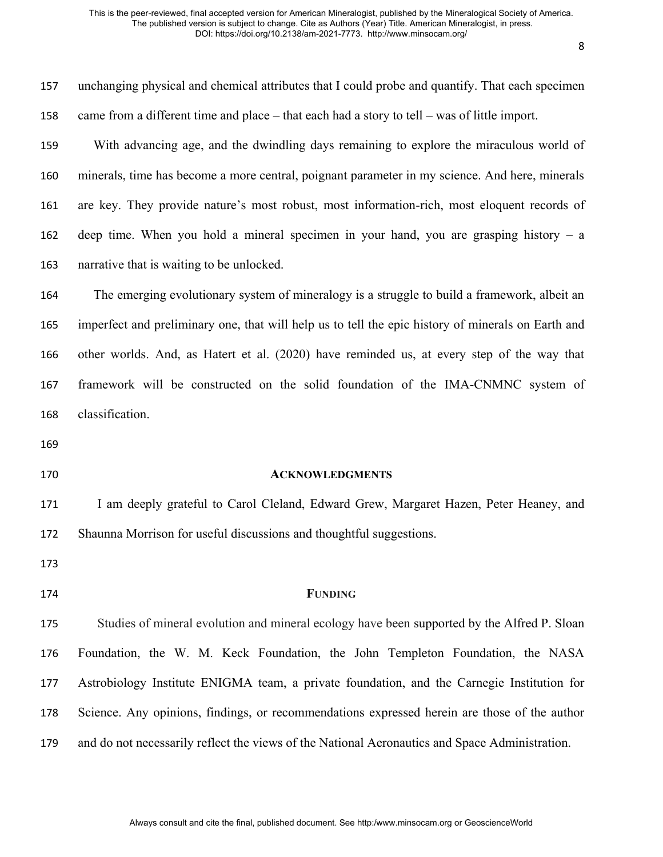| 157 | unchanging physical and chemical attributes that I could probe and quantify. That each specimen    |
|-----|----------------------------------------------------------------------------------------------------|
| 158 | came from a different time and place $-$ that each had a story to tell $-$ was of little import.   |
| 159 | With advancing age, and the dwindling days remaining to explore the miraculous world of            |
| 160 | minerals, time has become a more central, poignant parameter in my science. And here, minerals     |
| 161 | are key. They provide nature's most robust, most information-rich, most eloquent records of        |
| 162 | deep time. When you hold a mineral specimen in your hand, you are grasping history $-$ a           |
| 163 | narrative that is waiting to be unlocked.                                                          |
| 164 | The emerging evolutionary system of mineralogy is a struggle to build a framework, albeit an       |
| 165 | imperfect and preliminary one, that will help us to tell the epic history of minerals on Earth and |
| 166 | other worlds. And, as Hatert et al. (2020) have reminded us, at every step of the way that         |
| 167 | framework will be constructed on the solid foundation of the IMA-CNMNC system of                   |
| 168 | classification.                                                                                    |
| 169 |                                                                                                    |
| 170 | <b>ACKNOWLEDGMENTS</b>                                                                             |
| 171 | I am deeply grateful to Carol Cleland, Edward Grew, Margaret Hazen, Peter Heaney, and              |
| 172 | Shaunna Morrison for useful discussions and thoughtful suggestions.                                |
| 173 |                                                                                                    |
| 174 | <b>FUNDING</b>                                                                                     |
| 175 | Studies of mineral evolution and mineral ecology have been supported by the Alfred P. Sloan        |
| 176 | Foundation, the W. M. Keck Foundation, the John Templeton Foundation, the NASA                     |
| 177 | Astrobiology Institute ENIGMA team, a private foundation, and the Carnegie Institution for         |
| 178 | Science. Any opinions, findings, or recommendations expressed herein are those of the author       |
| 179 | and do not necessarily reflect the views of the National Aeronautics and Space Administration.     |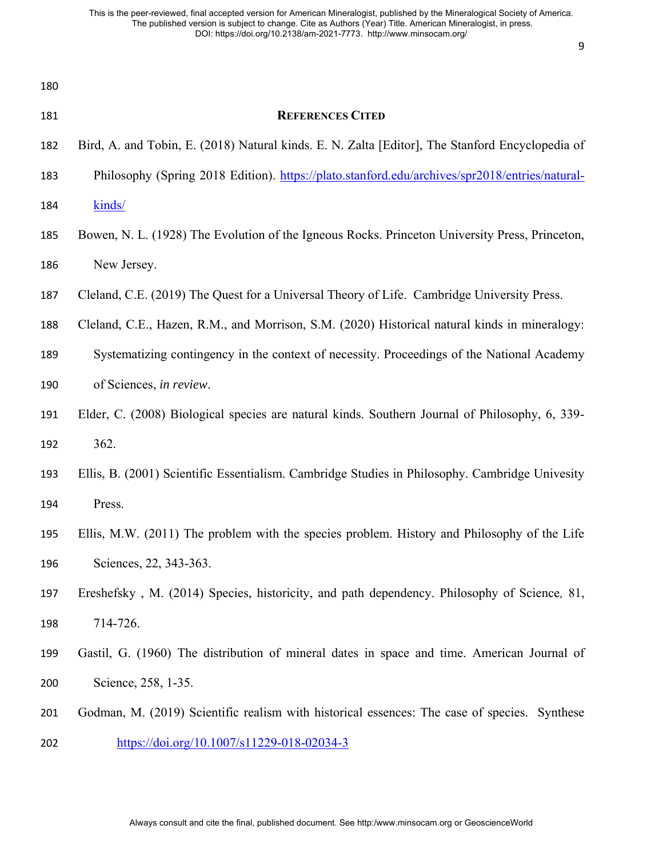| 180 |                                                                                                 |
|-----|-------------------------------------------------------------------------------------------------|
| 181 | <b>REFERENCES CITED</b>                                                                         |
| 182 | Bird, A. and Tobin, E. (2018) Natural kinds. E. N. Zalta [Editor], The Stanford Encyclopedia of |
| 183 | Philosophy (Spring 2018 Edition). https://plato.stanford.edu/archives/spr2018/entries/natural-  |
| 184 | kinds/                                                                                          |
| 185 | Bowen, N. L. (1928) The Evolution of the Igneous Rocks. Princeton University Press, Princeton,  |
| 186 | New Jersey.                                                                                     |
| 187 | Cleland, C.E. (2019) The Quest for a Universal Theory of Life. Cambridge University Press.      |
| 188 | Cleland, C.E., Hazen, R.M., and Morrison, S.M. (2020) Historical natural kinds in mineralogy:   |
| 189 | Systematizing contingency in the context of necessity. Proceedings of the National Academy      |
| 190 | of Sciences, in review.                                                                         |
| 191 | Elder, C. (2008) Biological species are natural kinds. Southern Journal of Philosophy, 6, 339-  |
| 192 | 362.                                                                                            |
| 193 | Ellis, B. (2001) Scientific Essentialism. Cambridge Studies in Philosophy. Cambridge Univesity  |
| 194 | Press.                                                                                          |
| 195 | Ellis, M.W. (2011) The problem with the species problem. History and Philosophy of the Life     |
| 196 | Sciences, 22, 343-363.                                                                          |
| 197 | Ereshefsky, M. (2014) Species, historicity, and path dependency. Philosophy of Science, 81,     |
| 198 | 714-726.                                                                                        |
| 199 | Gastil, G. (1960) The distribution of mineral dates in space and time. American Journal of      |
| 200 | Science, 258, 1-35.                                                                             |
| 201 | Godman, M. (2019) Scientific realism with historical essences: The case of species. Synthese    |
|     |                                                                                                 |

<https://doi.org/10.1007/s11229-018-02034-3>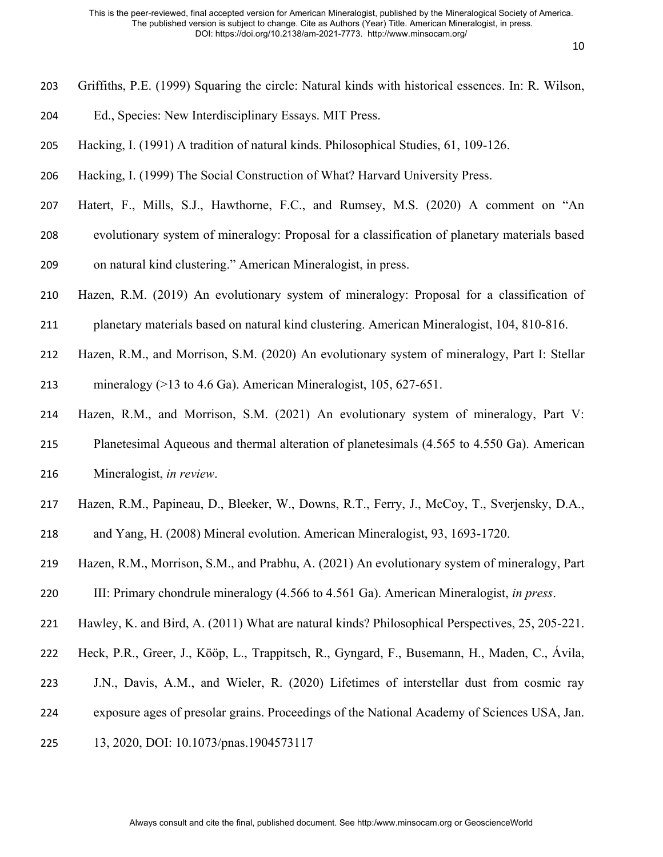- Griffiths, P.E. (1999) Squaring the circle: Natural kinds with historical essences. In: R. Wilson,
- Ed., Species: New Interdisciplinary Essays. MIT Press.
- Hacking, I. (1991) A tradition of natural kinds. Philosophical Studies, 61, 109-126.
- Hacking, I. (1999) The Social Construction of What? Harvard University Press.
- Hatert, F., Mills, S.J., Hawthorne, F.C., and Rumsey, M.S. (2020) A comment on "An
- evolutionary system of mineralogy: Proposal for a classification of planetary materials based on natural kind clustering." American Mineralogist, in press.
- Hazen, R.M. (2019) An evolutionary system of mineralogy: Proposal for a classification of
- planetary materials based on natural kind clustering. American Mineralogist, 104, 810-816.
- Hazen, R.M., and Morrison, S.M. (2020) An evolutionary system of mineralogy, Part I: Stellar mineralogy (>13 to 4.6 Ga). American Mineralogist, 105, 627-651.
- Hazen, R.M., and Morrison, S.M. (2021) An evolutionary system of mineralogy, Part V:
- Planetesimal Aqueous and thermal alteration of planetesimals (4.565 to 4.550 Ga). American Mineralogist, *in review*.
- Hazen, R.M., Papineau, D., Bleeker, W., Downs, R.T., Ferry, J., McCoy, T., Sverjensky, D.A.,
- and Yang, H. (2008) Mineral evolution. American Mineralogist, 93, 1693-1720.
- Hazen, R.M., Morrison, S.M., and Prabhu, A. (2021) An evolutionary system of mineralogy, Part
- III: Primary chondrule mineralogy (4.566 to 4.561 Ga). American Mineralogist, *in press*.
- Hawley, K. and Bird, A. (2011) What are natural kinds? Philosophical Perspectives, 25, 205-221.
- Heck, P.R., Greer, J., Kööp, L., Trappitsch, R., Gyngard, F., Busemann, H., Maden, C., Ávila,
- J.N., Davis, A.M., and Wieler, R. (2020) Lifetimes of interstellar dust from cosmic ray
- exposure ages of presolar grains. Proceedings of the National Academy of Sciences USA, Jan.
- 13, 2020, DOI: 10.1073/pnas.1904573117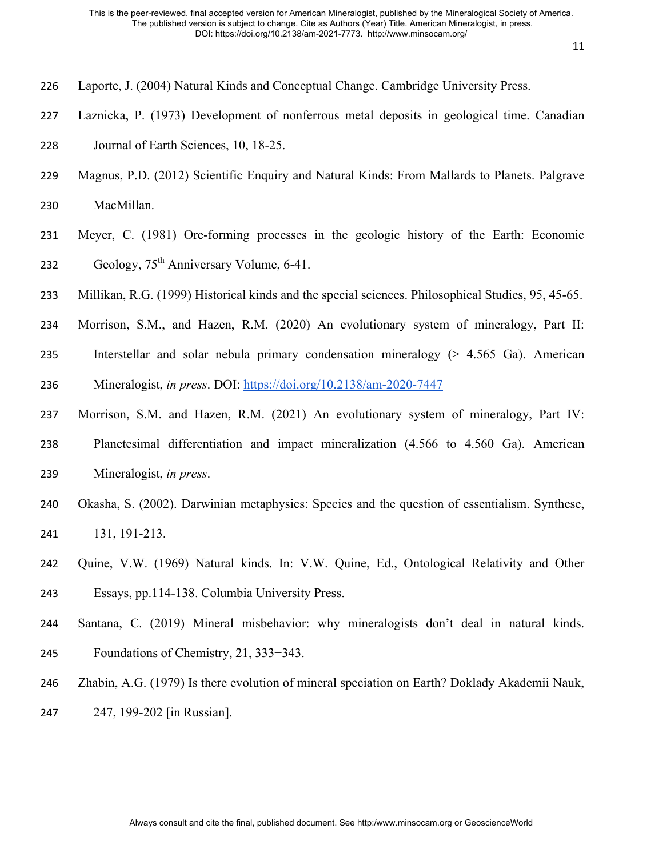- Laporte, J. (2004) Natural Kinds and Conceptual Change. Cambridge University Press.
- Laznicka, P. (1973) Development of nonferrous metal deposits in geological time. Canadian
- Journal of Earth Sciences, 10, 18-25.
- Magnus, P.D. (2012) Scientific Enquiry and Natural Kinds: From Mallards to Planets. Palgrave

MacMillan.

- Meyer, C. (1981) Ore-forming processes in the geologic history of the Earth: Economic 232 Geology,  $75<sup>th</sup>$  Anniversary Volume, 6-41.
- Millikan, R.G. (1999) Historical kinds and the special sciences. Philosophical Studies, 95, 45-65.
- Morrison, S.M., and Hazen, R.M. (2020) An evolutionary system of mineralogy, Part II:
- Interstellar and solar nebula primary condensation mineralogy (> 4.565 Ga). American Mineralogist, *in press*. DOI:<https://doi.org/10.2138/am-2020-7447>
- Morrison, S.M. and Hazen, R.M. (2021) An evolutionary system of mineralogy, Part IV: Planetesimal differentiation and impact mineralization (4.566 to 4.560 Ga). American
- Mineralogist, *in press*.
- Okasha, S. (2002). Darwinian metaphysics: Species and the question of essentialism. Synthese, 131, 191-213.
- Quine, V.W. (1969) Natural kinds. In: V.W. Quine, Ed., Ontological Relativity and Other Essays, pp.114-138. Columbia University Press.
- Santana, C. (2019) Mineral misbehavior: why mineralogists don't deal in natural kinds. Foundations of Chemistry, 21, 333−343.
- Zhabin, A.G. (1979) Is there evolution of mineral speciation on Earth? Doklady Akademii Nauk, 247, 199-202 [in Russian].